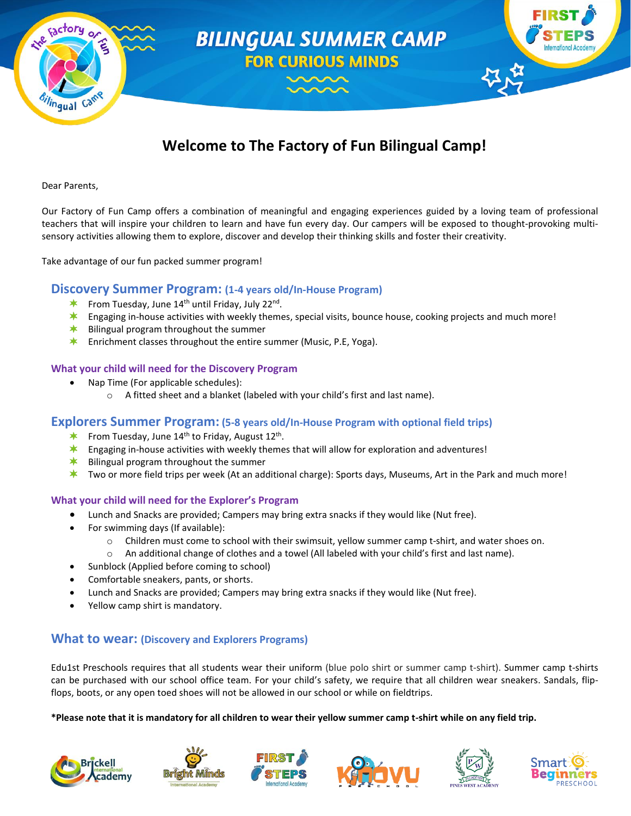

# **Welcome to The Factory of Fun Bilingual Camp!**

#### Dear Parents,

Our Factory of Fun Camp offers a combination of meaningful and engaging experiences guided by a loving team of professional teachers that will inspire your children to learn and have fun every day. Our campers will be exposed to thought-provoking multisensory activities allowing them to explore, discover and develop their thinking skills and foster their creativity.

Take advantage of our fun packed summer program!

#### **Discovery Summer Program: (1-4 years old/In-House Program)**

- From Tuesday, June 14<sup>th</sup> until Friday, July 22<sup>nd</sup>.
- **\*** Engaging in-house activities with weekly themes, special visits, bounce house, cooking projects and much more!
- $*$  Bilingual program throughout the summer
- **Enrichment classes throughout the entire summer (Music, P.E, Yoga).**

#### **What your child will need for the Discovery Program**

- Nap Time (For applicable schedules):
	- o A fitted sheet and a blanket (labeled with your child's first and last name).

#### **Explorers Summer Program: (5-8 years old/In-House Program with optional field trips)**

- From Tuesday, June 14<sup>th</sup> to Friday, August 12<sup>th</sup>.
- $\star$ Engaging in-house activities with weekly themes that will allow for exploration and adventures!
- ≭∴ Bilingual program throughout the summer
- $\star$ Two or more field trips per week (At an additional charge): Sports days, Museums, Art in the Park and much more!

#### **What your child will need for the Explorer's Program**

- Lunch and Snacks are provided; Campers may bring extra snacks if they would like (Nut free).
- For swimming days (If available):
	- o Children must come to school with their swimsuit, yellow summer camp t-shirt, and water shoes on.
		- o An additional change of clothes and a towel (All labeled with your child's first and last name).
- Sunblock (Applied before coming to school)
- Comfortable sneakers, pants, or shorts.
- Lunch and Snacks are provided; Campers may bring extra snacks if they would like (Nut free).
- Yellow camp shirt is mandatory.

#### **What to wear: (Discovery and Explorers Programs)**

Edu1st Preschools requires that all students wear their uniform (blue polo shirt or summer camp t-shirt). Summer camp t-shirts can be purchased with our school office team. For your child's safety, we require that all children wear sneakers. Sandals, flipflops, boots, or any open toed shoes will not be allowed in our school or while on fieldtrips.

**\*Please note that it is mandatory for all children to wear their yellow summer camp t-shirt while on any field trip.**











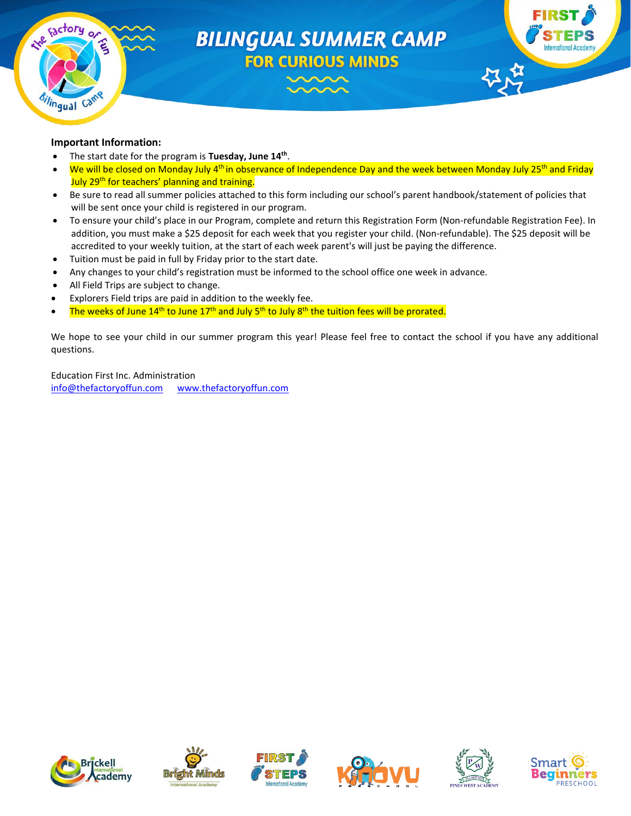

# **BILINGUAL SUMMER CAMP FOR CURIOUS MINDS**



#### **Important Information:**

- **•** The start date for the program is Tuesday, June 14<sup>th</sup>.
- We will be closed on Monday July 4<sup>th</sup> in observance of Independence Day and the week between Monday July 25<sup>th</sup> and Friday July 29th for teachers' planning and training.
- Be sure to read all summer policies attached to this form including our school's parent handbook/statement of policies that will be sent once your child is registered in our program.
- To ensure your child's place in our Program, complete and return this Registration Form (Non-refundable Registration Fee). In addition, you must make a \$25 deposit for each week that you register your child. (Non-refundable). The \$25 deposit will be accredited to your weekly tuition, at the start of each week parent's will just be paying the difference.
- Tuition must be paid in full by Friday prior to the start date.
- Any changes to your child's registration must be informed to the school office one week in advance.
- All Field Trips are subject to change.
- Explorers Field trips are paid in addition to the weekly fee.
- The weeks of June 14<sup>th</sup> to June 17<sup>th</sup> and July 5<sup>th</sup> to July 8<sup>th</sup> the tuition fees will be prorated.

We hope to see your child in our summer program this year! Please feel free to contact the school if you have any additional questions.

Education First Inc. Administration [info@thefactoryoffun.com](mailto:info@thefactoryoffun.com) [www.thefactoryoffun.com](http://www.thefactoryoffun.com/)











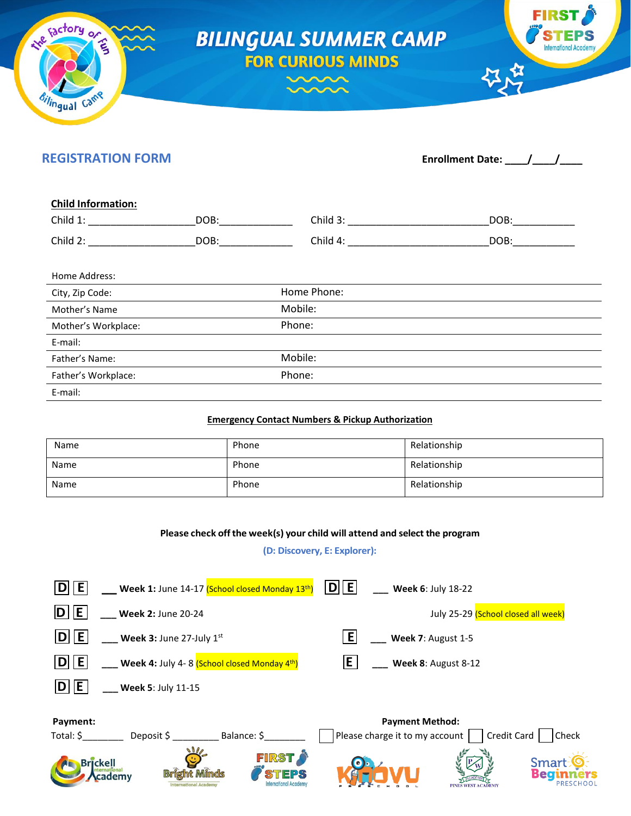

E-mail:

# **REGISTRATION FORM Enrollment Date:**  $\frac{1}{2}$

| DOB: | Child 3:    | DOB: |
|------|-------------|------|
| DOB: | Child 4:    | DOB: |
|      |             |      |
|      | Home Phone: |      |
|      | Mobile:     |      |
|      | Phone:      |      |
|      |             |      |
|      | Mobile:     |      |
|      | Phone:      |      |
|      |             |      |

#### **Emergency Contact Numbers & Pickup Authorization**

| Name | Phone | Relationship |
|------|-------|--------------|
| Name | Phone | Relationship |
| Name | Phone | Relationship |

#### **Please check offthe week(s) your child will attend and select the program**

#### **(D: Discovery, E: Explorer):**

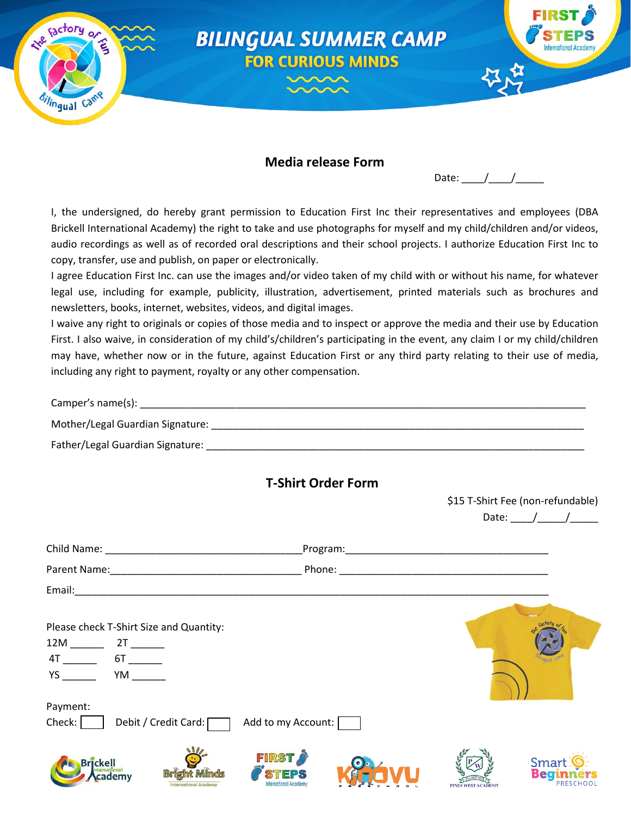

# **Media release Form**

| -<br>ate:<br>L<br>н.<br>uw. |  |  |
|-----------------------------|--|--|
|-----------------------------|--|--|

\$15 T-Shirt Fee (non-refundable)

I, the undersigned, do hereby grant permission to Education First Inc their representatives and employees (DBA Brickell International Academy) the right to take and use photographs for myself and my child/children and/or videos, audio recordings as well as of recorded oral descriptions and their school projects. I authorize Education First Inc to copy, transfer, use and publish, on paper or electronically.

I agree Education First Inc. can use the images and/or video taken of my child with or without his name, for whatever legal use, including for example, publicity, illustration, advertisement, printed materials such as brochures and newsletters, books, internet, websites, videos, and digital images.

I waive any right to originals or copies of those media and to inspect or approve the media and their use by Education First. I also waive, in consideration of my child's/children's participating in the event, any claim I or my child/children may have, whether now or in the future, against Education First or any third party relating to their use of media, including any right to payment, royalty or any other compensation.

| Camper's name(s):                |  |
|----------------------------------|--|
| Mother/Legal Guardian Signature: |  |

Father/Legal Guardian Signature:

# **T-Shirt Order Form**

|                                                                                                                                                                                                                                                                                                |                              |                    | Date: $/$ /                              |
|------------------------------------------------------------------------------------------------------------------------------------------------------------------------------------------------------------------------------------------------------------------------------------------------|------------------------------|--------------------|------------------------------------------|
|                                                                                                                                                                                                                                                                                                |                              |                    |                                          |
|                                                                                                                                                                                                                                                                                                |                              |                    |                                          |
|                                                                                                                                                                                                                                                                                                |                              |                    |                                          |
| Please check T-Shirt Size and Quantity:<br>$4T$ $6T$ $1$<br><b>YS</b> and the set of the set of the set of the set of the set of the set of the set of the set of the set of the set of the set of the set of the set of the set of the set of the set of the set of the set of the set of the |                              |                    |                                          |
| Payment:<br>Check:<br>Debit / Credit Card: [                                                                                                                                                                                                                                                   | Add to my Account:           |                    |                                          |
| Brickell<br><b>Bright Minds</b><br><b>International Academy</b>                                                                                                                                                                                                                                | <b>FIRST</b><br><b>STEPS</b> | PINES WEST ACADEMY | <b>Smart</b><br>Begi<br><b>PRESCHOOL</b> |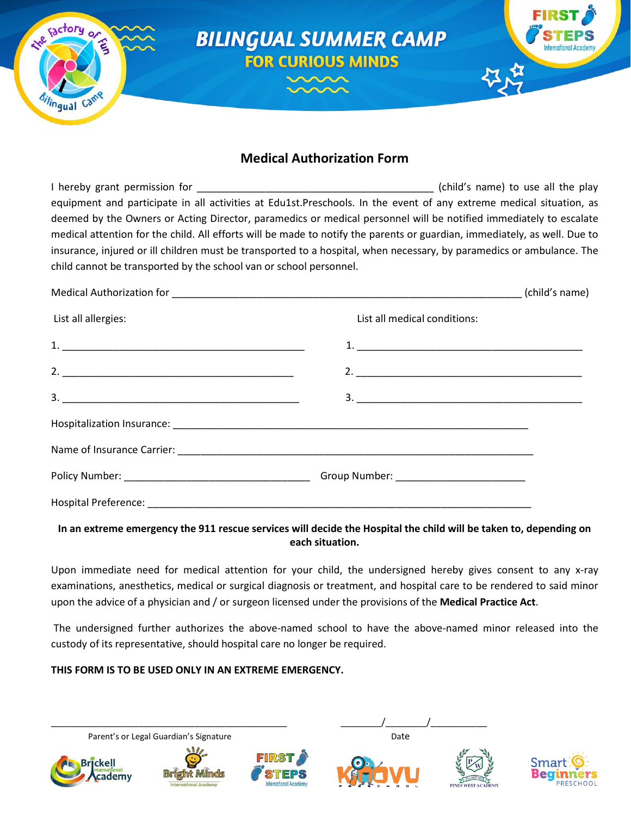

# **Medical Authorization Form**

I hereby grant permission for the same of the same of the play in the play (child's name) to use all the play equipment and participate in all activities at Edu1st.Preschools. In the event of any extreme medical situation, as deemed by the Owners or Acting Director, paramedics or medical personnel will be notified immediately to escalate medical attention for the child. All efforts will be made to notify the parents or guardian, immediately, as well. Due to insurance, injured or ill children must be transported to a hospital, when necessary, by paramedics or ambulance. The child cannot be transported by the school van or school personnel.

| List all allergies:<br>List all medical conditions:<br>2. |  | (child's name) |
|-----------------------------------------------------------|--|----------------|
|                                                           |  |                |
|                                                           |  |                |
|                                                           |  |                |
|                                                           |  |                |
|                                                           |  |                |
|                                                           |  |                |
|                                                           |  |                |
|                                                           |  |                |

### **In an extreme emergency the 911 rescue services will decide the Hospital the child will be taken to, depending on each situation.**

Upon immediate need for medical attention for your child, the undersigned hereby gives consent to any x-ray examinations, anesthetics, medical or surgical diagnosis or treatment, and hospital care to be rendered to said minor upon the advice of a physician and / or surgeon licensed under the provisions of the **Medical Practice Act**.

The undersigned further authorizes the above-named school to have the above-named minor released into the custody of its representative, should hospital care no longer be required.

# **THIS FORM IS TO BE USED ONLY IN AN EXTREME EMERGENCY.**

Parent's or Legal Guardian's Signature departure descriptions of the Date







\_\_\_\_\_\_\_\_\_\_\_\_\_\_\_\_\_\_\_\_\_\_\_\_\_\_\_\_\_\_\_\_\_\_\_\_\_\_\_\_\_\_\_\_\_\_ \_\_\_\_\_\_\_\_/\_\_\_\_\_\_\_\_/\_\_\_\_\_\_\_\_\_\_\_



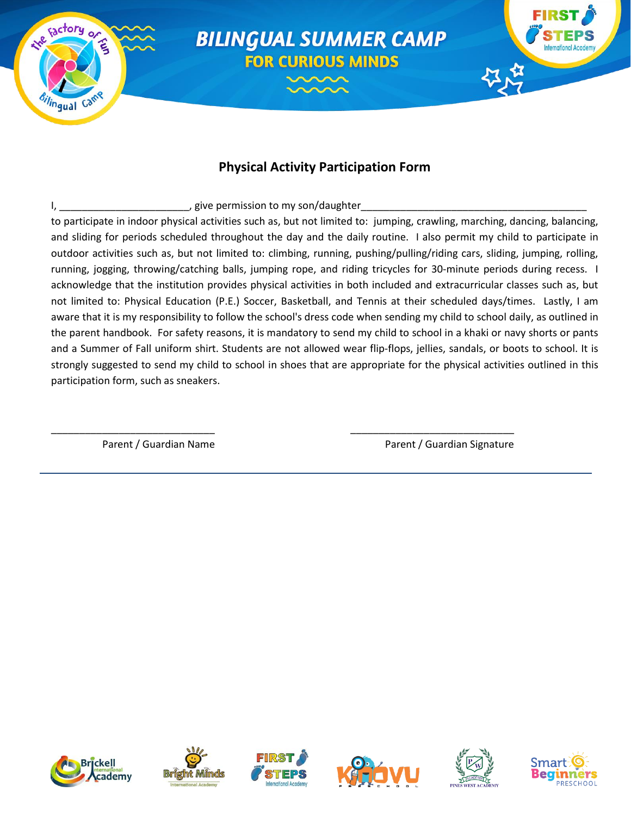

# **Physical Activity Participation Form**

I, \_\_\_\_\_\_\_\_\_\_\_\_\_\_\_\_\_\_\_\_\_\_\_\_\_\_\_\_\_, give permission to my son/daughter\_

\_\_\_\_\_\_\_\_\_\_\_\_\_\_\_\_\_\_\_\_\_\_\_\_\_\_\_\_\_ \_\_\_\_\_\_\_\_\_\_\_\_\_\_\_\_\_\_\_\_\_\_\_\_\_\_\_\_\_

to participate in indoor physical activities such as, but not limited to: jumping, crawling, marching, dancing, balancing, and sliding for periods scheduled throughout the day and the daily routine. I also permit my child to participate in outdoor activities such as, but not limited to: climbing, running, pushing/pulling/riding cars, sliding, jumping, rolling, running, jogging, throwing/catching balls, jumping rope, and riding tricycles for 30-minute periods during recess. I acknowledge that the institution provides physical activities in both included and extracurricular classes such as, but not limited to: Physical Education (P.E.) Soccer, Basketball, and Tennis at their scheduled days/times. Lastly, I am aware that it is my responsibility to follow the school's dress code when sending my child to school daily, as outlined in the parent handbook. For safety reasons, it is mandatory to send my child to school in a khaki or navy shorts or pants and a Summer of Fall uniform shirt. Students are not allowed wear flip-flops, jellies, sandals, or boots to school. It is strongly suggested to send my child to school in shoes that are appropriate for the physical activities outlined in this participation form, such as sneakers.

Parent / Guardian Name **Parent / Guardian Signature** Parent / Guardian Signature











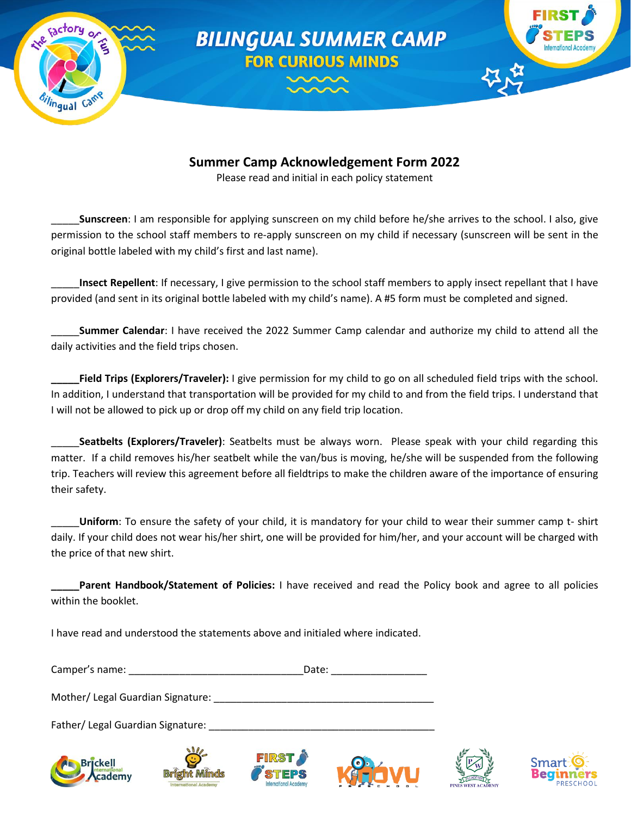

# **Summer Camp Acknowledgement Form 2022**

Please read and initial in each policy statement

\_\_\_\_\_**Sunscreen**: I am responsible for applying sunscreen on my child before he/she arrives to the school. I also, give permission to the school staff members to re-apply sunscreen on my child if necessary (sunscreen will be sent in the original bottle labeled with my child's first and last name).

\_\_\_\_\_**Insect Repellent**: If necessary, I give permission to the school staff members to apply insect repellant that I have provided (and sent in its original bottle labeled with my child's name). A #5 form must be completed and signed.

\_\_\_\_\_**Summer Calendar**: I have received the 2022 Summer Camp calendar and authorize my child to attend all the daily activities and the field trips chosen.

**\_\_\_\_\_Field Trips (Explorers/Traveler):** I give permission for my child to go on all scheduled field trips with the school. In addition, I understand that transportation will be provided for my child to and from the field trips. I understand that I will not be allowed to pick up or drop off my child on any field trip location.

\_\_\_\_\_**Seatbelts (Explorers/Traveler)**: Seatbelts must be always worn. Please speak with your child regarding this matter. If a child removes his/her seatbelt while the van/bus is moving, he/she will be suspended from the following trip. Teachers will review this agreement before all fieldtrips to make the children aware of the importance of ensuring their safety.

\_\_\_\_\_**Uniform**: To ensure the safety of your child, it is mandatory for your child to wear their summer camp t- shirt daily. If your child does not wear his/her shirt, one will be provided for him/her, and your account will be charged with the price of that new shirt.

**Parent Handbook/Statement of Policies:** I have received and read the Policy book and agree to all policies within the booklet.

I have read and understood the statements above and initialed where indicated.

Camper's name: \_\_\_\_\_\_\_\_\_\_\_\_\_\_\_\_\_\_\_\_\_\_\_\_\_\_\_\_\_\_\_Date: \_\_\_\_\_\_\_\_\_\_\_\_\_\_\_\_\_

Mother/ Legal Guardian Signature: \_\_\_\_\_\_\_\_\_\_\_\_\_\_\_\_\_\_\_\_\_\_\_\_\_\_\_\_\_\_\_\_\_\_\_\_\_\_\_

Father/ Legal Guardian Signature: